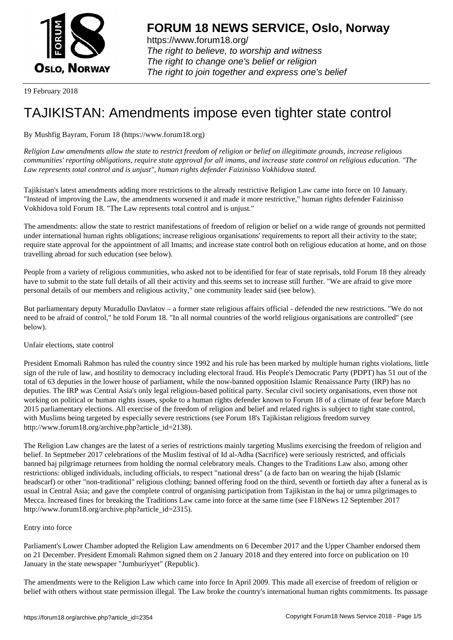

https://www.forum18.org/ The right to believe, to worship and witness The right to change one's belief or religion [The right to join together a](https://www.forum18.org/)nd express one's belief

19 February 2018

# [TAJIKISTAN: A](https://www.forum18.org)mendments impose even tighter state control

## By Mushfig Bayram, Forum 18 (https://www.forum18.org)

*Religion Law amendments allow the state to restrict freedom of religion or belief on illegitimate grounds, increase religious communities' reporting obligations, require state approval for all imams, and increase state control on religious education. "The Law represents total control and is unjust", human rights defender Faizinisso Vokhidova stated.*

Tajikistan's latest amendments adding more restrictions to the already restrictive Religion Law came into force on 10 January. "Instead of improving the Law, the amendments worsened it and made it more restrictive," human rights defender Faizinisso Vokhidova told Forum 18. "The Law represents total control and is unjust."

The amendments: allow the state to restrict manifestations of freedom of religion or belief on a wide range of grounds not permitted under international human rights obligations; increase religious organisations' requirements to report all their activity to the state; require state approval for the appointment of all Imams; and increase state control both on religious education at home, and on those travelling abroad for such education (see below).

People from a variety of religious communities, who asked not to be identified for fear of state reprisals, told Forum 18 they already have to submit to the state full details of all their activity and this seems set to increase still further. "We are afraid to give more personal details of our members and religious activity," one community leader said (see below).

But parliamentary deputy Muradullo Davlatov – a former state religious affairs official - defended the new restrictions. "We do not need to be afraid of control," he told Forum 18. "In all normal countries of the world religious organisations are controlled" (see below).

### Unfair elections, state control

President Emomali Rahmon has ruled the country since 1992 and his rule has been marked by multiple human rights violations, little sign of the rule of law, and hostility to democracy including electoral fraud. His People's Democratic Party (PDPT) has 51 out of the total of 63 deputies in the lower house of parliament, while the now-banned opposition Islamic Renaissance Party (IRP) has no deputies. The IRP was Central Asia's only legal religious-based political party. Secular civil society organisations, even those not working on political or human rights issues, spoke to a human rights defender known to Forum 18 of a climate of fear before March 2015 parliamentary elections. All exercise of the freedom of religion and belief and related rights is subject to tight state control, with Muslims being targeted by especially severe restrictions (see Forum 18's Tajikistan religious freedom survey http://www.forum18.org/archive.php?article\_id=2138).

The Religion Law changes are the latest of a series of restrictions mainly targeting Muslims exercising the freedom of religion and belief. In Septmeber 2017 celebrations of the Muslim festival of Id al-Adha (Sacrifice) were seriously restricted, and officials banned haj pilgrimage returnees from holding the normal celebratory meals. Changes to the Traditions Law also, among other restrictions: obliged individuals, including officials, to respect "national dress" (a de facto ban on wearing the hijab (Islamic headscarf) or other "non-traditional" religious clothing; banned offering food on the third, seventh or fortieth day after a funeral as is usual in Central Asia; and gave the complete control of organising participation from Tajikistan in the haj or umra pilgrimages to Mecca. Increased fines for breaking the Traditions Law came into force at the same time (see F18News 12 September 2017 http://www.forum18.org/archive.php?article\_id=2315).

### Entry into force

Parliament's Lower Chamber adopted the Religion Law amendments on 6 December 2017 and the Upper Chamber endorsed them on 21 December. President Emomali Rahmon signed them on 2 January 2018 and they entered into force on publication on 10 January in the state newspaper "Jumhuriyyet" (Republic).

The amendments were to the Religion Law which came into force In April 2009. This made all exercise of freedom of religion or belief with others without state permission illegal. The Law broke the country's international human rights commitments. Its passage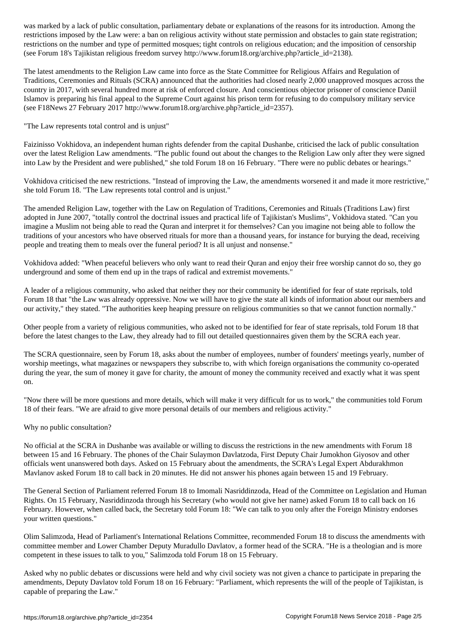restrictions imposed by the Law were: a ban on religious activity without state permission and obstacles to gain state registration; restrictions on the number and type of permitted mosques; tight controls on religious education; and the imposition of censorship (see Forum 18's Tajikistan religious freedom survey http://www.forum18.org/archive.php?article\_id=2138).

The latest amendments to the Religion Law came into force as the State Committee for Religious Affairs and Regulation of Traditions, Ceremonies and Rituals (SCRA) announced that the authorities had closed nearly 2,000 unapproved mosques across the country in 2017, with several hundred more at risk of enforced closure. And conscientious objector prisoner of conscience Daniil Islamov is preparing his final appeal to the Supreme Court against his prison term for refusing to do compulsory military service (see F18News 27 February 2017 http://www.forum18.org/archive.php?article\_id=2357).

"The Law represents total control and is unjust"

Faizinisso Vokhidova, an independent human rights defender from the capital Dushanbe, criticised the lack of public consultation over the latest Religion Law amendments. "The public found out about the changes to the Religion Law only after they were signed into Law by the President and were published," she told Forum 18 on 16 February. "There were no public debates or hearings."

Vokhidova criticised the new restrictions. "Instead of improving the Law, the amendments worsened it and made it more restrictive," she told Forum 18. "The Law represents total control and is unjust."

The amended Religion Law, together with the Law on Regulation of Traditions, Ceremonies and Rituals (Traditions Law) first adopted in June 2007, "totally control the doctrinal issues and practical life of Tajikistan's Muslims", Vokhidova stated. "Can you imagine a Muslim not being able to read the Quran and interpret it for themselves? Can you imagine not being able to follow the traditions of your ancestors who have observed rituals for more than a thousand years, for instance for burying the dead, receiving people and treating them to meals over the funeral period? It is all unjust and nonsense."

Vokhidova added: "When peaceful believers who only want to read their Quran and enjoy their free worship cannot do so, they go underground and some of them end up in the traps of radical and extremist movements."

A leader of a religious community, who asked that neither they nor their community be identified for fear of state reprisals, told Forum 18 that "the Law was already oppressive. Now we will have to give the state all kinds of information about our members and our activity," they stated. "The authorities keep heaping pressure on religious communities so that we cannot function normally."

Other people from a variety of religious communities, who asked not to be identified for fear of state reprisals, told Forum 18 that before the latest changes to the Law, they already had to fill out detailed questionnaires given them by the SCRA each year.

The SCRA questionnaire, seen by Forum 18, asks about the number of employees, number of founders' meetings yearly, number of worship meetings, what magazines or newspapers they subscribe to, with which foreign organisations the community co-operated during the year, the sum of money it gave for charity, the amount of money the community received and exactly what it was spent on.

"Now there will be more questions and more details, which will make it very difficult for us to work," the communities told Forum 18 of their fears. "We are afraid to give more personal details of our members and religious activity."

Why no public consultation?

No official at the SCRA in Dushanbe was available or willing to discuss the restrictions in the new amendments with Forum 18 between 15 and 16 February. The phones of the Chair Sulaymon Davlatzoda, First Deputy Chair Jumokhon Giyosov and other officials went unanswered both days. Asked on 15 February about the amendments, the SCRA's Legal Expert Abdurakhmon Mavlanov asked Forum 18 to call back in 20 minutes. He did not answer his phones again between 15 and 19 February.

The General Section of Parliament referred Forum 18 to Imomali Nasriddinzoda, Head of the Committee on Legislation and Human Rights. On 15 February, Nasriddinzoda through his Secretary (who would not give her name) asked Forum 18 to call back on 16 February. However, when called back, the Secretary told Forum 18: "We can talk to you only after the Foreign Ministry endorses your written questions."

Olim Salimzoda, Head of Parliament's International Relations Committee, recommended Forum 18 to discuss the amendments with committee member and Lower Chamber Deputy Muradullo Davlatov, a former head of the SCRA. "He is a theologian and is more competent in these issues to talk to you," Salimzoda told Forum 18 on 15 February.

Asked why no public debates or discussions were held and why civil society was not given a chance to participate in preparing the amendments, Deputy Davlatov told Forum 18 on 16 February: "Parliament, which represents the will of the people of Tajikistan, is capable of preparing the Law."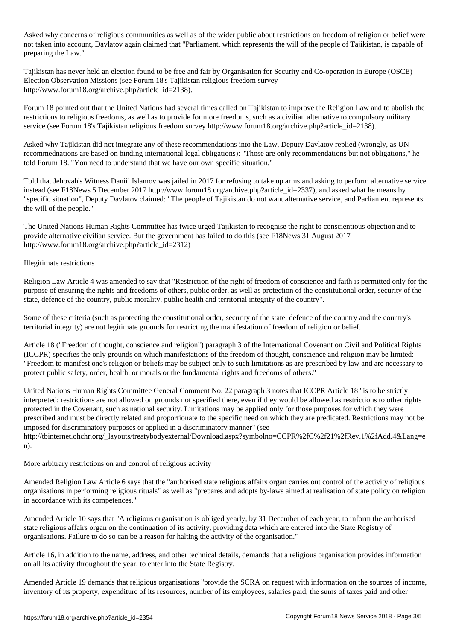Asked why concerns of religious communities as well as of the wider public about restrictions on freedom of religion or belief were not taken into account, Davlatov again claimed that "Parliament, which represents the will of the people of Tajikistan, is capable of preparing the Law."

Tajikistan has never held an election found to be free and fair by Organisation for Security and Co-operation in Europe (OSCE) Election Observation Missions (see Forum 18's Tajikistan religious freedom survey http://www.forum18.org/archive.php?article\_id=2138).

Forum 18 pointed out that the United Nations had several times called on Tajikistan to improve the Religion Law and to abolish the restrictions to religious freedoms, as well as to provide for more freedoms, such as a civilian alternative to compulsory military service (see Forum 18's Tajikistan religious freedom survey http://www.forum18.org/archive.php?article\_id=2138).

Asked why Tajikistan did not integrate any of these recommendations into the Law, Deputy Davlatov replied (wrongly, as UN recommednations are based on binding international legal obligations): "Those are only recommendations but not obligations," he told Forum 18. "You need to understand that we have our own specific situation."

Told that Jehovah's Witness Daniil Islamov was jailed in 2017 for refusing to take up arms and asking to perform alternative service instead (see F18News 5 December 2017 http://www.forum18.org/archive.php?article\_id=2337), and asked what he means by "specific situation", Deputy Davlatov claimed: "The people of Tajikistan do not want alternative service, and Parliament represents the will of the people."

The United Nations Human Rights Committee has twice urged Tajikistan to recognise the right to conscientious objection and to provide alternative civilian service. But the government has failed to do this (see F18News 31 August 2017 http://www.forum18.org/archive.php?article\_id=2312)

### Illegitimate restrictions

Religion Law Article 4 was amended to say that "Restriction of the right of freedom of conscience and faith is permitted only for the purpose of ensuring the rights and freedoms of others, public order, as well as protection of the constitutional order, security of the state, defence of the country, public morality, public health and territorial integrity of the country".

Some of these criteria (such as protecting the constitutional order, security of the state, defence of the country and the country's territorial integrity) are not legitimate grounds for restricting the manifestation of freedom of religion or belief.

Article 18 ("Freedom of thought, conscience and religion") paragraph 3 of the International Covenant on Civil and Political Rights (ICCPR) specifies the only grounds on which manifestations of the freedom of thought, conscience and religion may be limited: "Freedom to manifest one's religion or beliefs may be subject only to such limitations as are prescribed by law and are necessary to protect public safety, order, health, or morals or the fundamental rights and freedoms of others."

United Nations Human Rights Committee General Comment No. 22 paragraph 3 notes that ICCPR Article 18 "is to be strictly interpreted: restrictions are not allowed on grounds not specified there, even if they would be allowed as restrictions to other rights protected in the Covenant, such as national security. Limitations may be applied only for those purposes for which they were prescribed and must be directly related and proportionate to the specific need on which they are predicated. Restrictions may not be imposed for discriminatory purposes or applied in a discriminatory manner" (see http://tbinternet.ohchr.org/\_layouts/treatybodyexternal/Download.aspx?symbolno=CCPR%2fC%2f21%2fRev.1%2fAdd.4&Lang=e n).

More arbitrary restrictions on and control of religious activity

Amended Religion Law Article 6 says that the "authorised state religious affairs organ carries out control of the activity of religious organisations in performing religious rituals" as well as "prepares and adopts by-laws aimed at realisation of state policy on religion in accordance with its competences."

Amended Article 10 says that "A religious organisation is obliged yearly, by 31 December of each year, to inform the authorised state religious affairs organ on the continuation of its activity, providing data which are entered into the State Registry of organisations. Failure to do so can be a reason for halting the activity of the organisation."

Article 16, in addition to the name, address, and other technical details, demands that a religious organisation provides information on all its activity throughout the year, to enter into the State Registry.

Amended Article 19 demands that religious organisations "provide the SCRA on request with information on the sources of income, inventory of its property, expenditure of its resources, number of its employees, salaries paid, the sums of taxes paid and other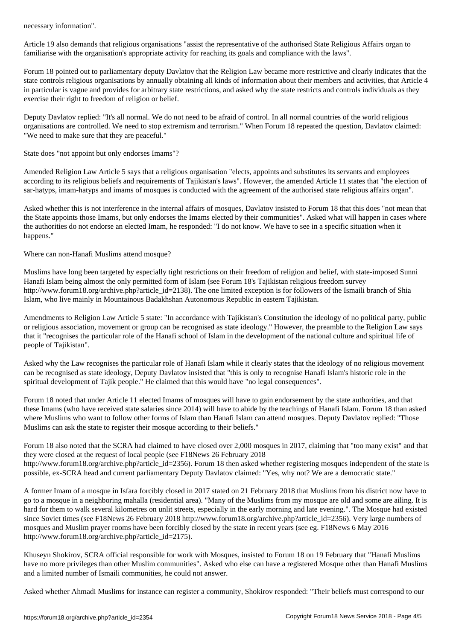Article 19 also demands that religious organisations "assist the representative of the authorised State Religious Affairs organ to familiarise with the organisation's appropriate activity for reaching its goals and compliance with the laws".

Forum 18 pointed out to parliamentary deputy Davlatov that the Religion Law became more restrictive and clearly indicates that the state controls religious organisations by annually obtaining all kinds of information about their members and activities, that Article 4 in particular is vague and provides for arbitrary state restrictions, and asked why the state restricts and controls individuals as they exercise their right to freedom of religion or belief.

Deputy Davlatov replied: "It's all normal. We do not need to be afraid of control. In all normal countries of the world religious organisations are controlled. We need to stop extremism and terrorism." When Forum 18 repeated the question, Davlatov claimed: "We need to make sure that they are peaceful."

State does "not appoint but only endorses Imams"?

Amended Religion Law Article 5 says that a religious organisation "elects, appoints and substitutes its servants and employees according to its religious beliefs and requirements of Tajikistan's laws". However, the amended Article 11 states that "the election of sar-hatyps, imam-hatyps and imams of mosques is conducted with the agreement of the authorised state religious affairs organ".

Asked whether this is not interference in the internal affairs of mosques, Davlatov insisted to Forum 18 that this does "not mean that the State appoints those Imams, but only endorses the Imams elected by their communities". Asked what will happen in cases where the authorities do not endorse an elected Imam, he responded: "I do not know. We have to see in a specific situation when it happens."

Where can non-Hanafi Muslims attend mosque?

Muslims have long been targeted by especially tight restrictions on their freedom of religion and belief, with state-imposed Sunni Hanafi Islam being almost the only permitted form of Islam (see Forum 18's Tajikistan religious freedom survey http://www.forum18.org/archive.php?article\_id=2138). The one limited exception is for followers of the Ismaili branch of Shia Islam, who live mainly in Mountainous Badakhshan Autonomous Republic in eastern Tajikistan.

Amendments to Religion Law Article 5 state: "In accordance with Tajikistan's Constitution the ideology of no political party, public or religious association, movement or group can be recognised as state ideology." However, the preamble to the Religion Law says that it "recognises the particular role of the Hanafi school of Islam in the development of the national culture and spiritual life of people of Tajikistan".

Asked why the Law recognises the particular role of Hanafi Islam while it clearly states that the ideology of no religious movement can be recognised as state ideology, Deputy Davlatov insisted that "this is only to recognise Hanafi Islam's historic role in the spiritual development of Tajik people." He claimed that this would have "no legal consequences".

Forum 18 noted that under Article 11 elected Imams of mosques will have to gain endorsement by the state authorities, and that these Imams (who have received state salaries since 2014) will have to abide by the teachings of Hanafi Islam. Forum 18 than asked where Muslims who want to follow other forms of Islam than Hanafi Islam can attend mosques. Deputy Davlatov replied: "Those Muslims can ask the state to register their mosque according to their beliefs."

Forum 18 also noted that the SCRA had claimed to have closed over 2,000 mosques in 2017, claiming that "too many exist" and that they were closed at the request of local people (see F18News 26 February 2018 http://www.forum18.org/archive.php?article\_id=2356). Forum 18 then asked whether registering mosques independent of the state is possible, ex-SCRA head and current parliamentary Deputy Davlatov claimed: "Yes, why not? We are a democratic state."

A former Imam of a mosque in Isfara forcibly closed in 2017 stated on 21 February 2018 that Muslims from his district now have to go to a mosque in a neighboring mahalla (residential area). "Many of the Muslims from my mosque are old and some are ailing. It is hard for them to walk several kilometres on unlit streets, especially in the early morning and late evening.". The Mosque had existed since Soviet times (see F18News 26 February 2018 http://www.forum18.org/archive.php?article\_id=2356). Very large numbers of mosques and Muslim prayer rooms have been forcibly closed by the state in recent years (see eg. F18News 6 May 2016 http://www.forum18.org/archive.php?article\_id=2175).

Khuseyn Shokirov, SCRA official responsible for work with Mosques, insisted to Forum 18 on 19 February that "Hanafi Muslims have no more privileges than other Muslim communities". Asked who else can have a registered Mosque other than Hanafi Muslims and a limited number of Ismaili communities, he could not answer.

Asked whether Ahmadi Muslims for instance can register a community, Shokirov responded: "Their beliefs must correspond to our